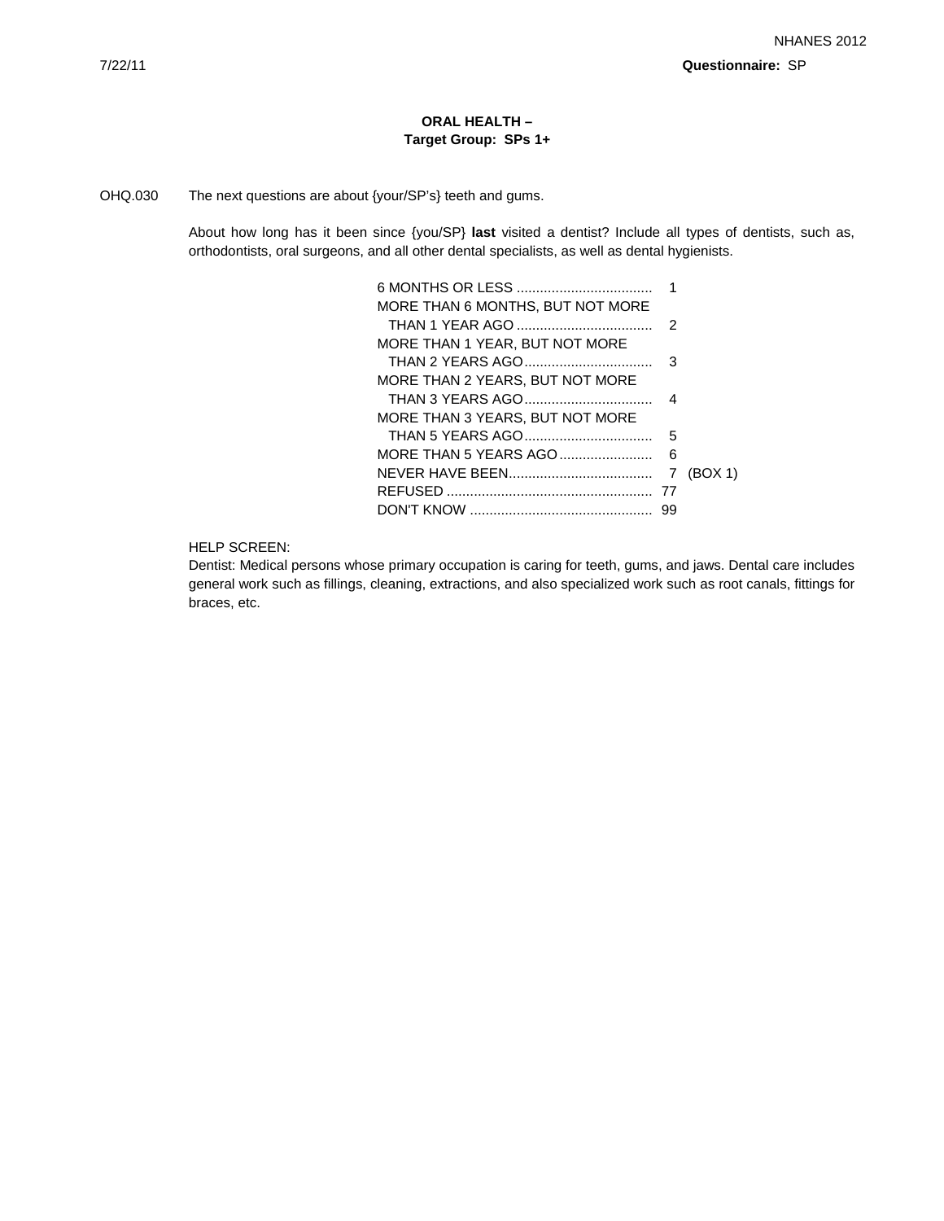# **ORAL HEALTH – Target Group: SPs 1+**

# OHQ.030 The next questions are about {your/SP's} teeth and gums.

About how long has it been since {you/SP} **last** visited a dentist? Include all types of dentists, such as, orthodontists, oral surgeons, and all other dental specialists, as well as dental hygienists.

|                                  | 1  |         |
|----------------------------------|----|---------|
| MORE THAN 6 MONTHS. BUT NOT MORE |    |         |
|                                  | 2  |         |
| MORE THAN 1 YEAR, BUT NOT MORE   |    |         |
| THAN 2 YEARS AGO                 | 3  |         |
| MORE THAN 2 YEARS, BUT NOT MORE  |    |         |
|                                  |    |         |
| MORE THAN 3 YEARS. BUT NOT MORE  |    |         |
|                                  | 5  |         |
| MORE THAN 5 YEARS AGO            | 6  |         |
|                                  | 7  | (BOX 1) |
|                                  | 77 |         |
|                                  | 99 |         |

HELP SCREEN:

Dentist: Medical persons whose primary occupation is caring for teeth, gums, and jaws. Dental care includes general work such as fillings, cleaning, extractions, and also specialized work such as root canals, fittings for braces, etc.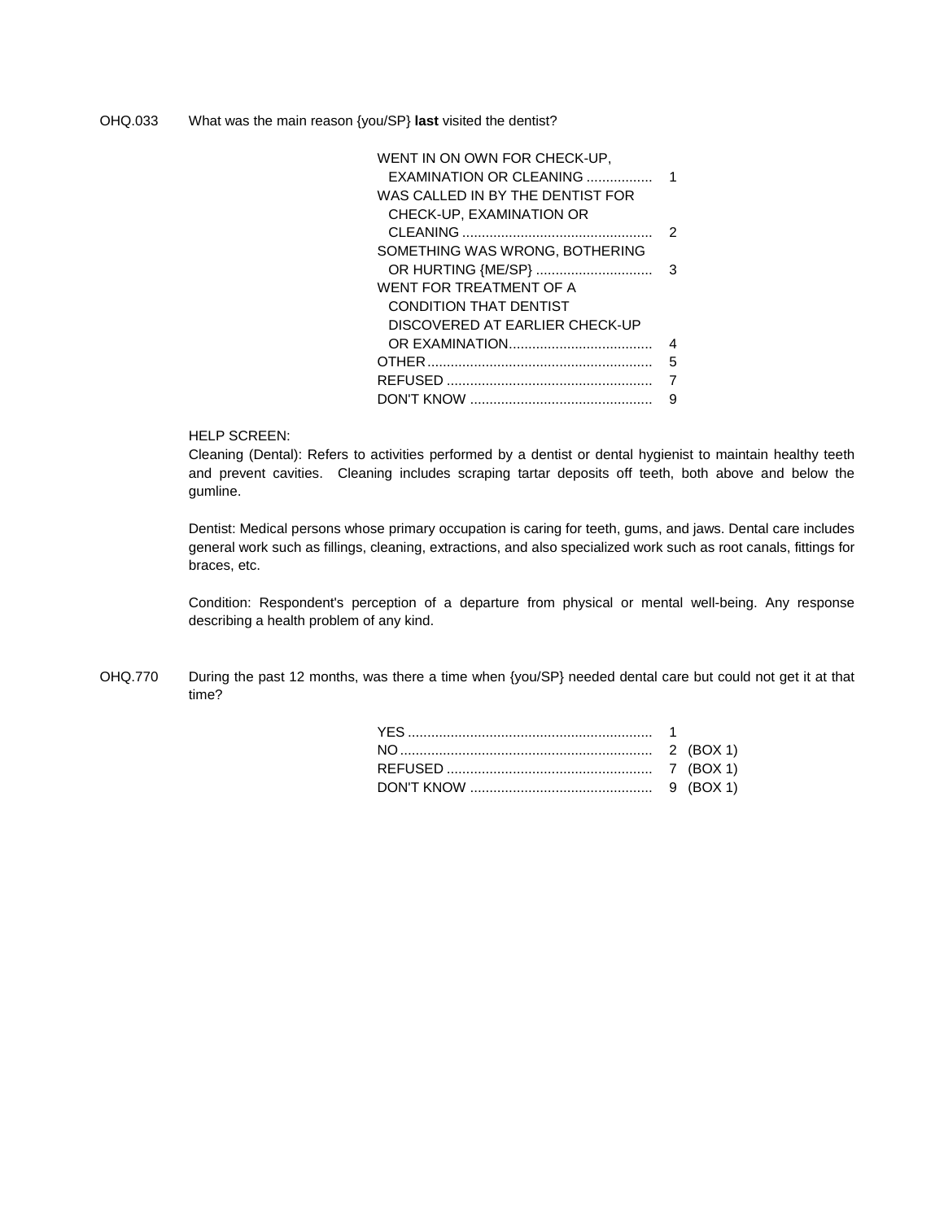OHQ.033 What was the main reason {you/SP} **last** visited the dentist?

| WENT IN ON OWN FOR CHECK-UP.<br>EXAMINATION OR CLEANING<br>WAS CALLED IN BY THE DENTIST FOR | 1 |
|---------------------------------------------------------------------------------------------|---|
| CHECK-UP. EXAMINATION OR                                                                    |   |
|                                                                                             | 2 |
| SOMETHING WAS WRONG, BOTHERING                                                              |   |
| OR HURTING {ME/SP}                                                                          | з |
| WENT FOR TREATMENT OF A                                                                     |   |
| CONDITION THAT DENTIST                                                                      |   |
| DISCOVERED AT EARLIER CHECK-UP                                                              |   |
|                                                                                             | 4 |
|                                                                                             | 5 |
|                                                                                             |   |
|                                                                                             | q |

# HELP SCREEN:

Cleaning (Dental): Refers to activities performed by a dentist or dental hygienist to maintain healthy teeth and prevent cavities. Cleaning includes scraping tartar deposits off teeth, both above and below the gumline.

Dentist: Medical persons whose primary occupation is caring for teeth, gums, and jaws. Dental care includes general work such as fillings, cleaning, extractions, and also specialized work such as root canals, fittings for braces, etc.

Condition: Respondent's perception of a departure from physical or mental well-being. Any response describing a health problem of any kind.

OHQ.770 During the past 12 months, was there a time when {you/SP} needed dental care but could not get it at that time?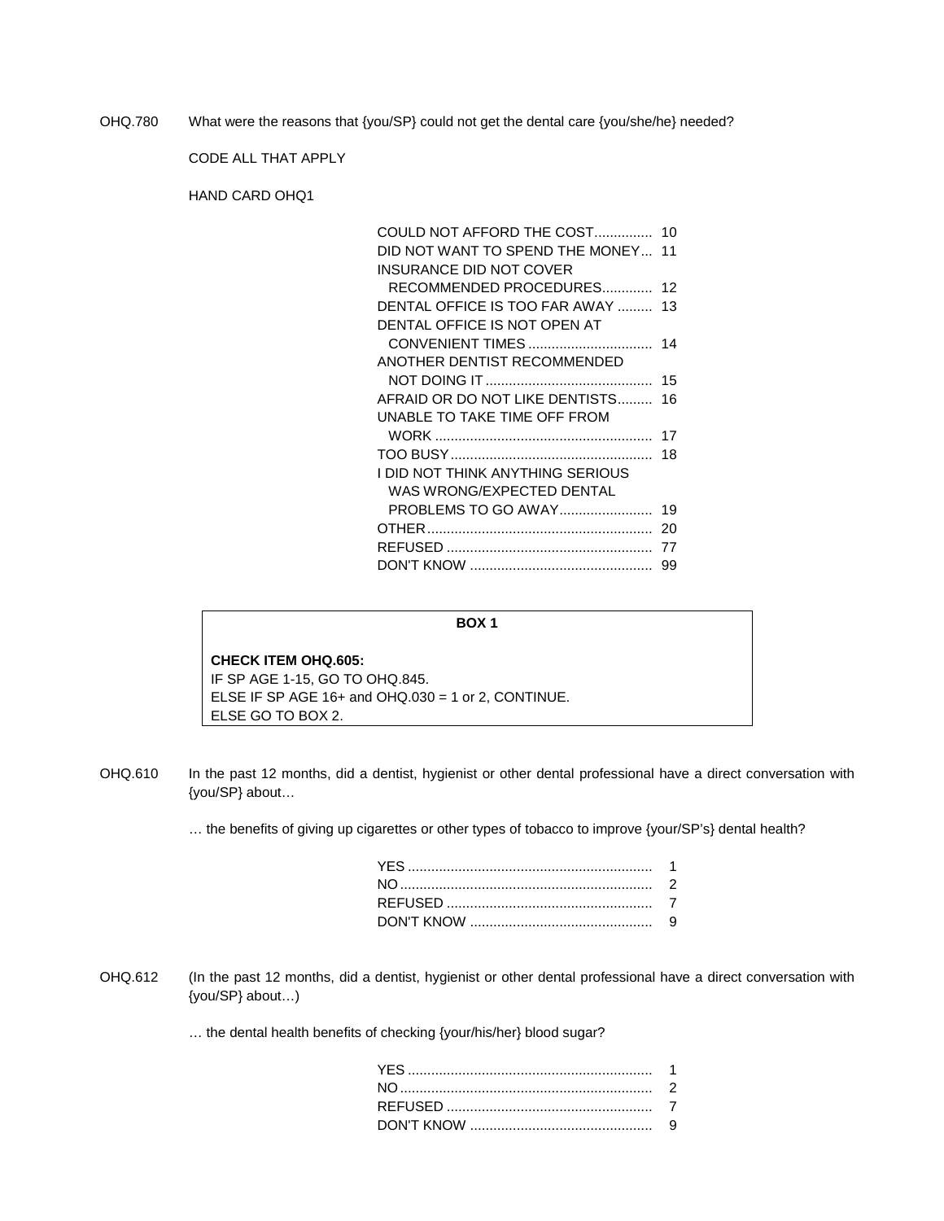OHQ.780 What were the reasons that {you/SP} could not get the dental care {you/she/he} needed?

CODE ALL THAT APPLY

HAND CARD OHQ1

| COULD NOT AFFORD THE COST 10       |    |
|------------------------------------|----|
| DID NOT WANT TO SPEND THE MONEY 11 |    |
| INSURANCE DID NOT COVER            |    |
| RECOMMENDED PROCEDURES 12          |    |
| DENTAL OFFICE IS TOO FAR AWAY  13  |    |
| DENTAL OFFICE IS NOT OPEN AT       |    |
| CONVENIENT TIMES                   | 14 |
| ANOTHER DENTIST RECOMMENDED        |    |
|                                    |    |
| AFRAID OR DO NOT LIKE DENTISTS 16  |    |
| UNABLE TO TAKE TIME OFF FROM       |    |
|                                    | 17 |
|                                    | 18 |
| I DID NOT THINK ANYTHING SERIOUS   |    |
| WAS WRONG/EXPECTED DENTAL          |    |
| <b>PROBLEMS TO GO AWAY</b>         | 19 |
|                                    | 20 |
|                                    | 77 |
|                                    | 99 |

#### **BOX 1**

# **CHECK ITEM OHQ.605:** IF SP AGE 1-15, GO TO OHQ.845.

ELSE IF SP AGE 16+ and OHQ.030 = 1 or 2, CONTINUE. ELSE GO TO BOX 2.

OHQ.610 In the past 12 months, did a dentist, hygienist or other dental professional have a direct conversation with {you/SP} about…

… the benefits of giving up cigarettes or other types of tobacco to improve {your/SP's} dental health?

OHQ.612 (In the past 12 months, did a dentist, hygienist or other dental professional have a direct conversation with {you/SP} about…)

… the dental health benefits of checking {your/his/her} blood sugar?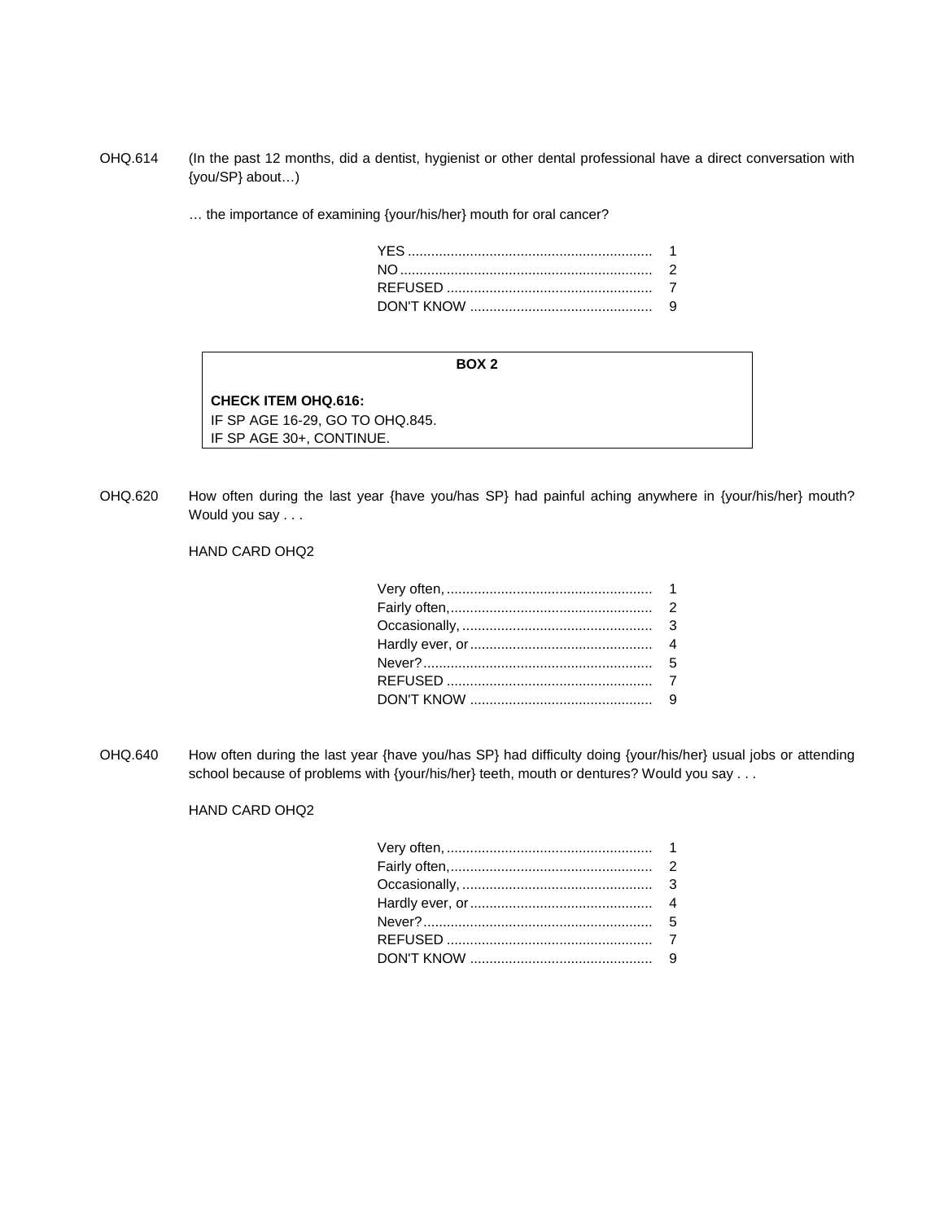OHQ.614 (In the past 12 months, did a dentist, hygienist or other dental professional have a direct conversation with {you/SP} about…)

… the importance of examining {your/his/her} mouth for oral cancer?

#### **BOX 2**

**CHECK ITEM OHQ.616:** IF SP AGE 16-29, GO TO OHQ.845. IF SP AGE 30+, CONTINUE.

OHQ.620 How often during the last year {have you/has SP} had painful aching anywhere in {your/his/her} mouth? Would you say . . .

# HAND CARD OHQ2

OHQ.640 How often during the last year {have you/has SP} had difficulty doing {your/his/her} usual jobs or attending school because of problems with {your/his/her} teeth, mouth or dentures? Would you say . . .

## HAND CARD OHQ2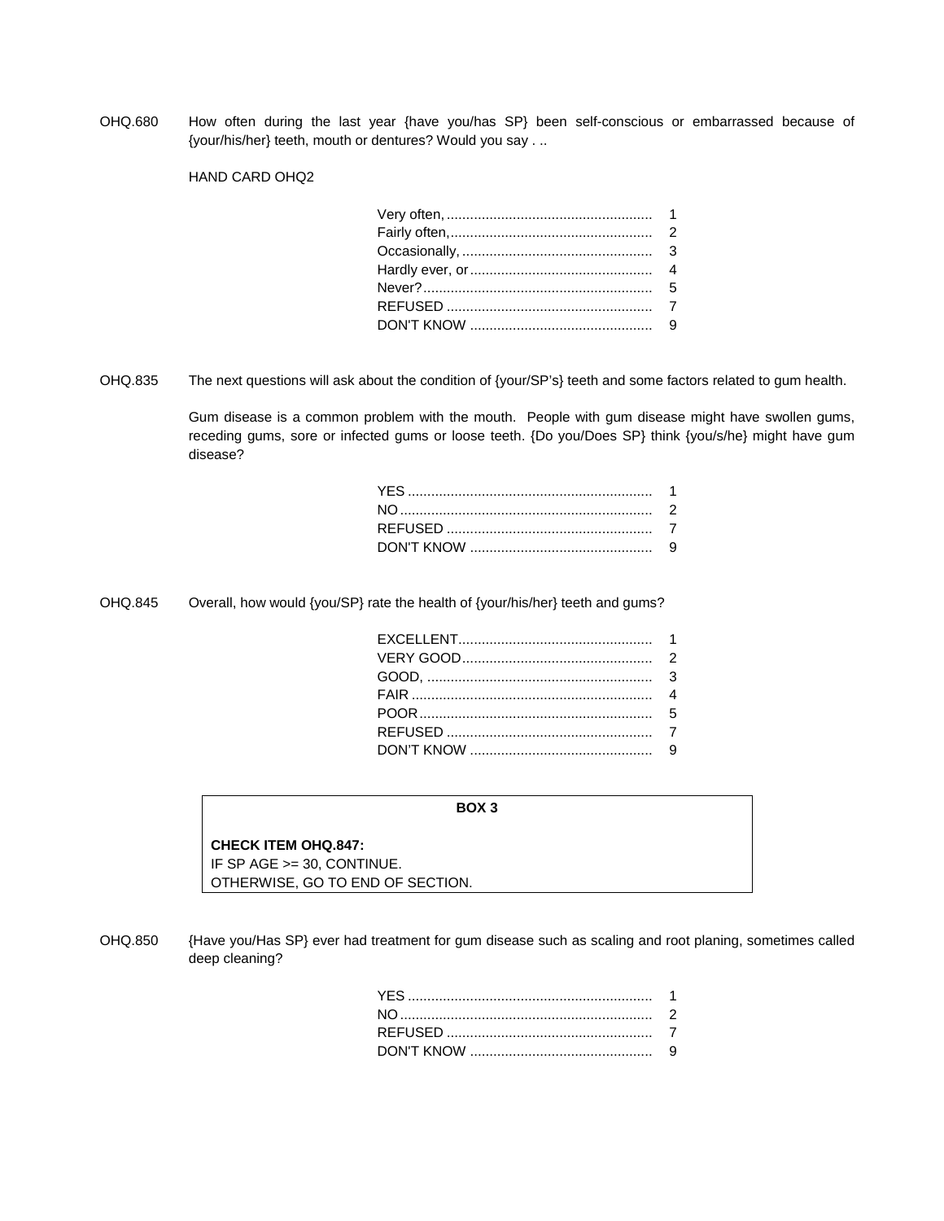OHQ.680 How often during the last year {have you/has SP} been self-conscious or embarrassed because of {your/his/her} teeth, mouth or dentures? Would you say . ..

HAND CARD OHQ2

OHQ.835 The next questions will ask about the condition of {your/SP's} teeth and some factors related to gum health.

Gum disease is a common problem with the mouth. People with gum disease might have swollen gums, receding gums, sore or infected gums or loose teeth. {Do you/Does SP} think {you/s/he} might have gum disease?

OHQ.845 Overall, how would {you/SP} rate the health of {your/his/her} teeth and gums?

## **BOX 3**

## **CHECK ITEM OHQ.847:**

IF SP AGE >= 30, CONTINUE. OTHERWISE, GO TO END OF SECTION.

OHQ.850 {Have you/Has SP} ever had treatment for gum disease such as scaling and root planing, sometimes called deep cleaning?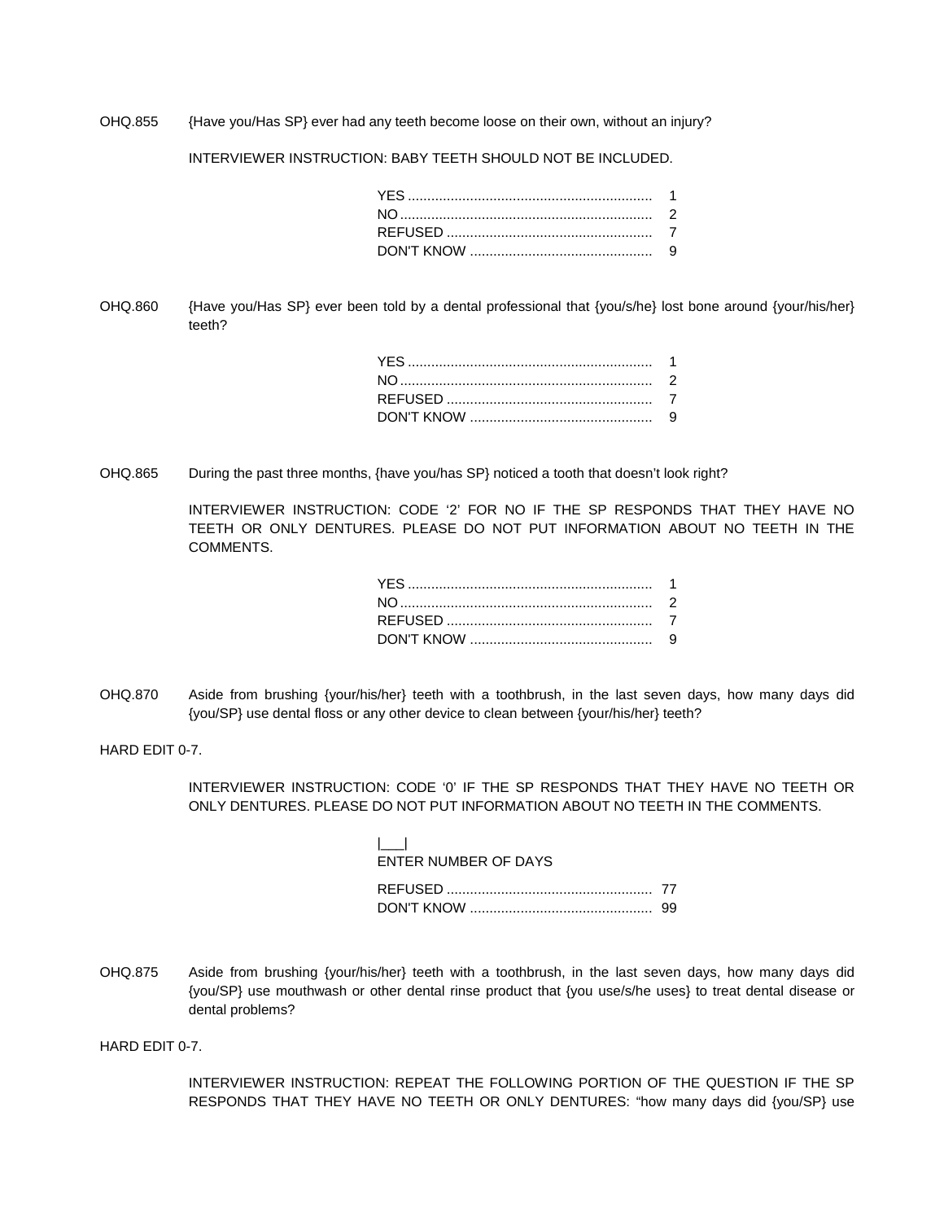OHQ.855 {Have you/Has SP} ever had any teeth become loose on their own, without an injury?

INTERVIEWER INSTRUCTION: BABY TEETH SHOULD NOT BE INCLUDED.

OHQ.860 {Have you/Has SP} ever been told by a dental professional that {you/s/he} lost bone around {your/his/her} teeth?

OHQ.865 During the past three months, {have you/has SP} noticed a tooth that doesn't look right?

INTERVIEWER INSTRUCTION: CODE '2' FOR NO IF THE SP RESPONDS THAT THEY HAVE NO TEETH OR ONLY DENTURES. PLEASE DO NOT PUT INFORMATION ABOUT NO TEETH IN THE **COMMENTS** 

OHQ.870 Aside from brushing {your/his/her} teeth with a toothbrush, in the last seven days, how many days did {you/SP} use dental floss or any other device to clean between {your/his/her} teeth?

HARD EDIT 0-7.

INTERVIEWER INSTRUCTION: CODE '0' IF THE SP RESPONDS THAT THEY HAVE NO TEETH OR ONLY DENTURES. PLEASE DO NOT PUT INFORMATION ABOUT NO TEETH IN THE COMMENTS.

| $\sim$               |  |
|----------------------|--|
| ENTER NUMBER OF DAYS |  |
|                      |  |
|                      |  |
|                      |  |

OHQ.875 Aside from brushing {your/his/her} teeth with a toothbrush, in the last seven days, how many days did {you/SP} use mouthwash or other dental rinse product that {you use/s/he uses} to treat dental disease or dental problems?

HARD EDIT 0-7.

INTERVIEWER INSTRUCTION: REPEAT THE FOLLOWING PORTION OF THE QUESTION IF THE SP RESPONDS THAT THEY HAVE NO TEETH OR ONLY DENTURES: "how many days did {you/SP} use